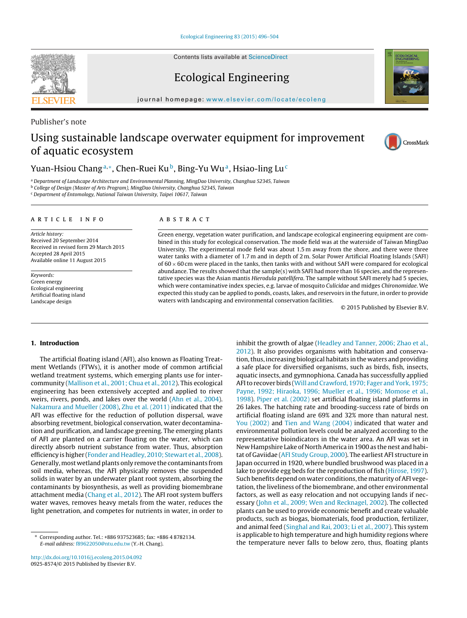Contents lists available at [ScienceDirect](http://www.sciencedirect.com/science/journal/09258574)

# Ecological Engineering

journal homepage: [www.elsevier.com/locate/ecoleng](http://www.elsevier.com/locate/ecoleng)

# Using sustainable landscape overwater equipment for improvement of aquatic ecosystem

### Yuan-Hsiou Chang<sup>a,∗</sup>, Chen-Ruei Ku<sup>b</sup>, Bing-Yu Wu<sup>a</sup>, Hsiao-ling Lu<sup>c</sup>

<sup>a</sup> Department of Landscape Architecture and Environmental Planning, MingDao University, Changhua 52345, Taiwan

<sup>b</sup> College of Design (Master of Arts Program), MingDao University, Changhua 52345, Taiwan

<sup>c</sup> Department of Entomology, National Taiwan University, Taipei 10617, Taiwan

#### article info

Article history: Received 20 September 2014 Received in revised form 29 March 2015 Accepted 28 April 2015 Available online 11 August 2015

Keywords: Green energy Ecological engineering Artificial floating island Landscape design

#### **ABSTRACT**

Green energy, vegetation water purification, and landscape ecological engineering equipment are combined in this study for ecological conservation. The mode field was at the waterside of Taiwan MingDao University. The experimental mode field was about 1.5 m away from the shore, and there were three water tanks with a diameter of 1.7 m and in depth of 2 m. Solar Power Artificial Floating Islands (SAFI) of  $60 \times 60$  cm were placed in the tanks, then tanks with and without SAFI were compared for ecological abundance. The results showed that the sample(s) with SAFI had more than 16 species, and the representative species was the Asian mantis Hierodula patellifera. The sample without SAFI merely had 5 species, which were contaminative index species, e.g. larvae of mosquito Culicidae and midges Chironomidae. We expected this study can be applied to ponds, coasts, lakes, and reservoirs in the future, in order to provide waters with landscaping and environmental conservation facilities.

© 2015 Published by Elsevier B.V.

#### **1. Introduction**

The artificial floating island (AFI), also known as Floating Treatment Wetlands (FTWs), it is another mode of common artificial wetland treatment systems, which emerging plants use for intercommunity ([Mallison et al., 2001; Chua et al., 2012\).](#page--1-0) This ecological engineering has been extensively accepted and applied to river weirs, rivers, ponds, and lakes over the world ([Ahn et al., 2004\).](#page--1-0) [Nakamura and Mueller \(2008\),](#page--1-0) [Zhu et al. \(2011\)](#page--1-0) indicated that the AFI was effective for the reduction of pollution dispersal, wave absorbing revetment, biological conservation, water decontamination and purification, and landscape greening. The emerging plants of AFI are planted on a carrier floating on the water, which can directly absorb nutrient substance from water. Thus, absorption efficiency is higher [\(Fonder and Headley, 2010; Stewart et al., 2008\).](#page--1-0) Generally,most wetland plants only remove the contaminants from soil media, whereas, the AFI physically removes the suspended solids in water by an underwater plant root system, absorbing the contaminants by biosynthesis, as well as providing biomembrane attachment media [\(Chang et al., 2012\).](#page--1-0) The AFI root system buffers water waves, removes heavy metals from the water, reduces the light penetration, and competes for nutrients in water, in order to

[http://dx.doi.org/10.1016/j.ecoleng.2015.04.092](dx.doi.org/10.1016/j.ecoleng.2015.04.092) 0925-8574/© 2015 Published by Elsevier B.V.

[2012\).](#page--1-0) It also provides organisms with habitation and conservation, thus, increasing biological habitats in the waters and providing a safe place for diversified organisms, such as birds, fish, insects, aquatic insects, and gymnophiona. Canada has successfully applied AFI to recover birds [\(Will and Crawford, 1970; Fager and York, 1975;](#page--1-0) [Payne, 1992; Hiraoka, 1996; Mueller et al., 1996; Momose et al.,](#page--1-0) [1998\).](#page--1-0) [Piper et al. \(2002\)](#page--1-0) set artificial floating island platforms in 26 lakes. The hatching rate and brooding-success rate of birds on artificial floating island are 69% and 32% more than natural nest. [You \(2002\)](#page--1-0) and [Tien and Wang \(2004\)](#page--1-0) indicated that water and environmental pollution levels could be analyzed according to the representative bioindicators in the water area. An AFI was set in New Hampshire Lake of North America in 1900 as the nest and habitat of Gaviidae [\(AFI Study Group, 2000\).](#page--1-0) The earliest AFI structure in Japan occurred in 1920, where bundled brushwood was placed in a lake to provide egg beds for the reproduction of fish [\(Hirose, 1997\).](#page--1-0) Such benefits depend on water conditions, the maturity of AFI vegetation, the liveliness of the biomembrane, and other environmental factors, as well as easy relocation and not occupying lands if necessary ([John et al., 2009; Wen and Recknagel, 2002\).](#page--1-0) The collected plants can be used to provide economic benefit and create valuable products, such as biogas, biomaterials, food production, fertilizer, and animal feed ([Singhal and Rai, 2003; Li et al., 2007\).](#page--1-0) This system is applicable to high temperature and high humidity regions where the temperature never falls to below zero, thus, floating plants

inhibit the growth of algae ([Headley and Tanner, 2006; Zhao et al.,](#page--1-0)



Publisher's note





<sup>∗</sup> Corresponding author. Tel.: +886 937523685; fax: +886 4 8782134. E-mail address: [f89622050@ntu.edu.tw](mailto:f89622050@ntu.edu.tw) (Y.-H. Chang).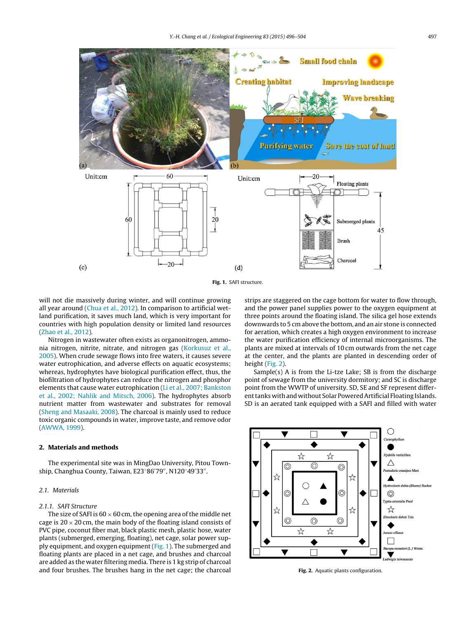

**Fig. 1.** SAFI structure.

will not die massively during winter, and will continue growing all year around [\(Chua et al., 2012\).](#page--1-0) In comparison to artificial wetland purification, it saves much land, which is very important for countries with high population density or limited land resources ([Zhao et al., 2012\).](#page--1-0)

Nitrogen in wastewater often exists as organonitrogen, ammonia nitrogen, nitrite, nitrate, and nitrogen gas [\(Korkusuz et al.,](#page--1-0) [2005\).](#page--1-0) When crude sewage flows into free waters, it causes severe water eutrophication, and adverse effects on aquatic ecosystems; whereas, hydrophytes have biological purification effect, thus, the biofiltration of hydrophytes can reduce the nitrogen and phosphor elements that cause water eutrophication [\(Li et al., 2007; Bankston](#page--1-0) [et al., 2002; Nahlik and Mitsch, 2006\).](#page--1-0) The hydrophytes absorb nutrient matter from wastewater and substrates for removal ([Sheng and Masaaki, 2008\).](#page--1-0) The charcoal is mainly used to reduce toxic organic compounds in water, improve taste, and remove odor ([AWWA, 1999\).](#page--1-0)

#### **2. Materials and methods**

The experimental site was in MingDao University, Pitou Township, Changhua County, Taiwan, E23°86′79″, N120°49′33″.

#### 2.1. Materials

#### 2.1.1. SAFI Structure

The size of SAFI is  $60 \times 60$  cm, the opening area of the middle net cage is  $20 \times 20$  cm, the main body of the floating island consists of PVC pipe, coconut fiber mat, black plastic mesh, plastic hose, water plants (submerged, emerging, floating), net cage, solar power supply equipment, and oxygen equipment (Fig. 1). The submerged and floating plants are placed in a net cage, and brushes and charcoal are added as the water filtering media. There is 1 kg strip of charcoal and four brushes. The brushes hang in the net cage; the charcoal

strips are staggered on the cage bottom for water to flow through, and the power panel supplies power to the oxygen equipment at three points around the floating island. The silica gel hose extends downwards to 5 cm above the bottom, and an air stone is connected for aeration, which creates a high oxygen environment to increase the water purification efficiency of internal microorganisms. The plants are mixed at intervals of 10 cm outwards from the net cage at the center, and the plants are planted in descending order of height (Fig. 2).

Sample(s) A is from the Li-tze Lake; SB is from the discharge point of sewage from the university dormitory; and SC is discharge point from the WWTP of university. SD, SE and SF represent different tanks with and without Solar Powered Artificial Floating Islands. SD is an aerated tank equipped with a SAFI and filled with water



**Fig. 2.** Aquatic plants configuration.